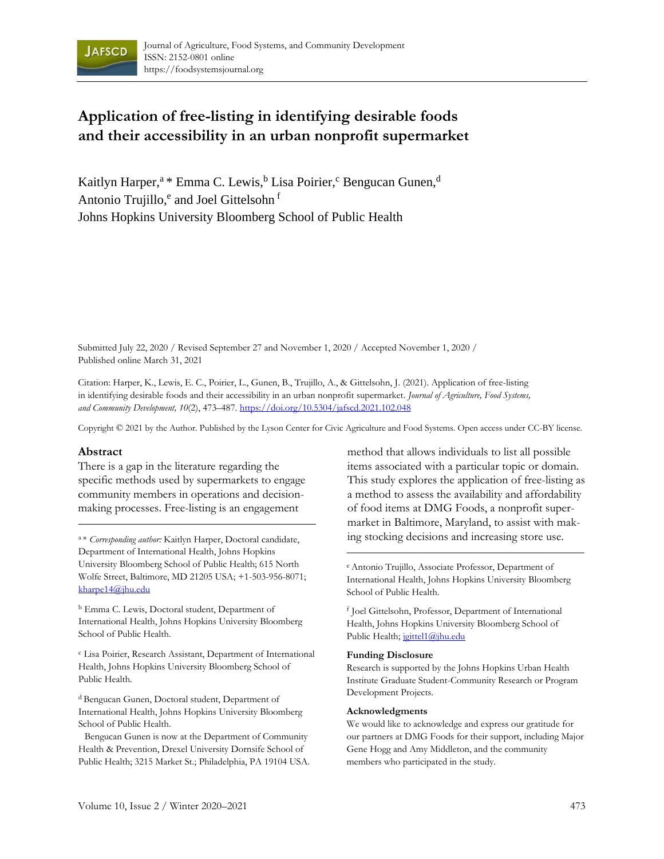

# **Application of free-listing in identifying desirable foods and their accessibility in an urban nonprofit supermarket**

Kaitlyn Harper,<sup>a \*</sup> Emma C. Lewis, <sup>b</sup> Lisa Poirier, <sup>c</sup> Bengucan Gunen, <sup>d</sup> Antonio Trujillo, <sup>e</sup> and Joel Gittelsohn f Johns Hopkins University Bloomberg School of Public Health

Submitted July 22, 2020 / Revised September 27 and November 1, 2020 / Accepted November 1, 2020 / Published online March 31, 2021

Citation: Harper, K., Lewis, E. C., Poirier, L., Gunen, B., Trujillo, A., & Gittelsohn, J. (2021). Application of free-listing in identifying desirable foods and their accessibility in an urban nonprofit supermarket. *Journal of Agriculture, Food Systems, and Community Development, 10*(2), 473–487. https://doi.org/10.5304/jafscd.2021.102.048

Copyright © 2021 by the Author. Published by the Lyson Center for Civic Agriculture and Food Systems. Open access under CC-BY license.

### **Abstract**

There is a gap in the literature regarding the specific methods used by supermarkets to engage community members in operations and decisionmaking processes. Free-listing is an engagement

Department of International Health, Johns Hopkins University Bloomberg School of Public Health; 615 North Wolfe Street, Baltimore, MD 21205 USA; +1-503-956-8071; kharpe14@jhu.edu

<sup>b</sup> Emma C. Lewis, Doctoral student, Department of International Health, Johns Hopkins University Bloomberg School of Public Health.

<sup>c</sup> Lisa Poirier, Research Assistant, Department of International Health, Johns Hopkins University Bloomberg School of Public Health.

<sup>d</sup> Bengucan Gunen, Doctoral student, Department of International Health, Johns Hopkins University Bloomberg School of Public Health.

Bengucan Gunen is now at the Department of Community Health & Prevention, Drexel University Dornsife School of Public Health; 3215 Market St.; Philadelphia, PA 19104 USA.

method that allows individuals to list all possible items associated with a particular topic or domain. This study explores the application of free-listing as a method to assess the availability and affordability of food items at DMG Foods, a nonprofit supermarket in Baltimore, Maryland, to assist with maka\* Corresponding author: Kaitlyn Harper, Doctoral candidate, *ing stocking decisions and increasing store use*.

> <sup>e</sup>Antonio Trujillo, Associate Professor, Department of International Health, Johns Hopkins University Bloomberg School of Public Health.

f Joel Gittelsohn, Professor, Department of International Health, Johns Hopkins University Bloomberg School of Public Health; joittel1@jhu.edu

#### **Funding Disclosure**

Research is supported by the Johns Hopkins Urban Health Institute Graduate Student-Community Research or Program Development Projects.

#### **Acknowledgments**

We would like to acknowledge and express our gratitude for our partners at DMG Foods for their support, including Major Gene Hogg and Amy Middleton, and the community members who participated in the study.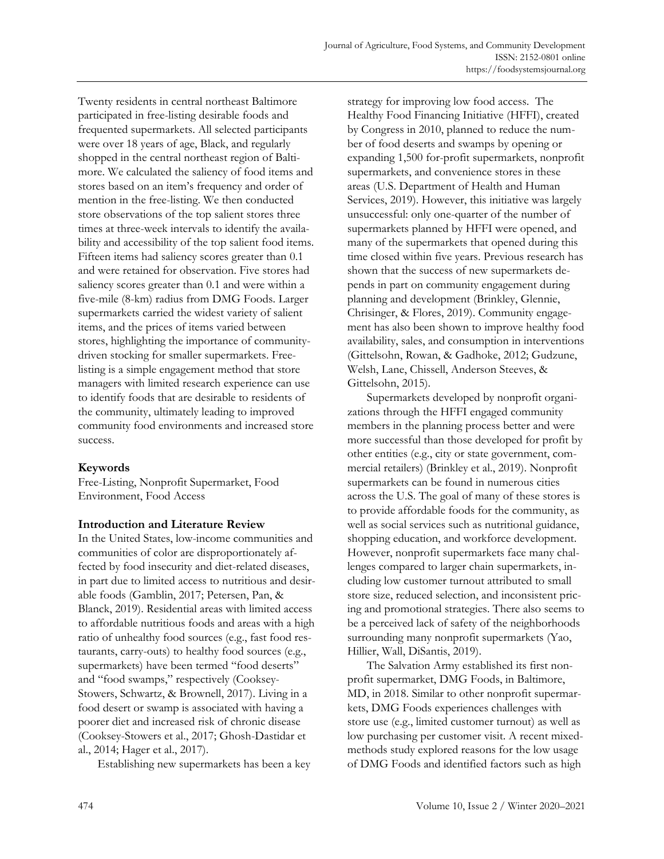Twenty residents in central northeast Baltimore participated in free-listing desirable foods and frequented supermarkets. All selected participants were over 18 years of age, Black, and regularly shopped in the central northeast region of Baltimore. We calculated the saliency of food items and stores based on an item's frequency and order of mention in the free-listing. We then conducted store observations of the top salient stores three times at three-week intervals to identify the availability and accessibility of the top salient food items. Fifteen items had saliency scores greater than 0.1 and were retained for observation. Five stores had saliency scores greater than 0.1 and were within a five-mile (8-km) radius from DMG Foods. Larger supermarkets carried the widest variety of salient items, and the prices of items varied between stores, highlighting the importance of communitydriven stocking for smaller supermarkets. Freelisting is a simple engagement method that store managers with limited research experience can use to identify foods that are desirable to residents of the community, ultimately leading to improved community food environments and increased store success.

# **Keywords**

Free-Listing, Nonprofit Supermarket, Food Environment, Food Access

### **Introduction and Literature Review**

In the United States, low-income communities and communities of color are disproportionately affected by food insecurity and diet-related diseases, in part due to limited access to nutritious and desirable foods (Gamblin, 2017; Petersen, Pan, & Blanck, 2019). Residential areas with limited access to affordable nutritious foods and areas with a high ratio of unhealthy food sources (e.g., fast food restaurants, carry-outs) to healthy food sources (e.g., supermarkets) have been termed "food deserts" and "food swamps," respectively (Cooksey-Stowers, Schwartz, & Brownell, 2017). Living in a food desert or swamp is associated with having a poorer diet and increased risk of chronic disease (Cooksey-Stowers et al., 2017; Ghosh-Dastidar et al., 2014; Hager et al., 2017).

Establishing new supermarkets has been a key

strategy for improving low food access. The Healthy Food Financing Initiative (HFFI), created by Congress in 2010, planned to reduce the number of food deserts and swamps by opening or expanding 1,500 for-profit supermarkets, nonprofit supermarkets, and convenience stores in these areas (U.S. Department of Health and Human Services, 2019). However, this initiative was largely unsuccessful: only one-quarter of the number of supermarkets planned by HFFI were opened, and many of the supermarkets that opened during this time closed within five years. Previous research has shown that the success of new supermarkets depends in part on community engagement during planning and development (Brinkley, Glennie, Chrisinger, & Flores, 2019). Community engagement has also been shown to improve healthy food availability, sales, and consumption in interventions (Gittelsohn, Rowan, & Gadhoke, 2012; Gudzune, Welsh, Lane, Chissell, Anderson Steeves, & Gittelsohn, 2015).

Supermarkets developed by nonprofit organizations through the HFFI engaged community members in the planning process better and were more successful than those developed for profit by other entities (e.g., city or state government, commercial retailers) (Brinkley et al., 2019). Nonprofit supermarkets can be found in numerous cities across the U.S. The goal of many of these stores is to provide affordable foods for the community, as well as social services such as nutritional guidance, shopping education, and workforce development. However, nonprofit supermarkets face many challenges compared to larger chain supermarkets, including low customer turnout attributed to small store size, reduced selection, and inconsistent pricing and promotional strategies. There also seems to be a perceived lack of safety of the neighborhoods surrounding many nonprofit supermarkets (Yao, Hillier, Wall, DiSantis, 2019).

The Salvation Army established its first nonprofit supermarket, DMG Foods, in Baltimore, MD, in 2018. Similar to other nonprofit supermarkets, DMG Foods experiences challenges with store use (e.g., limited customer turnout) as well as low purchasing per customer visit. A recent mixedmethods study explored reasons for the low usage of DMG Foods and identified factors such as high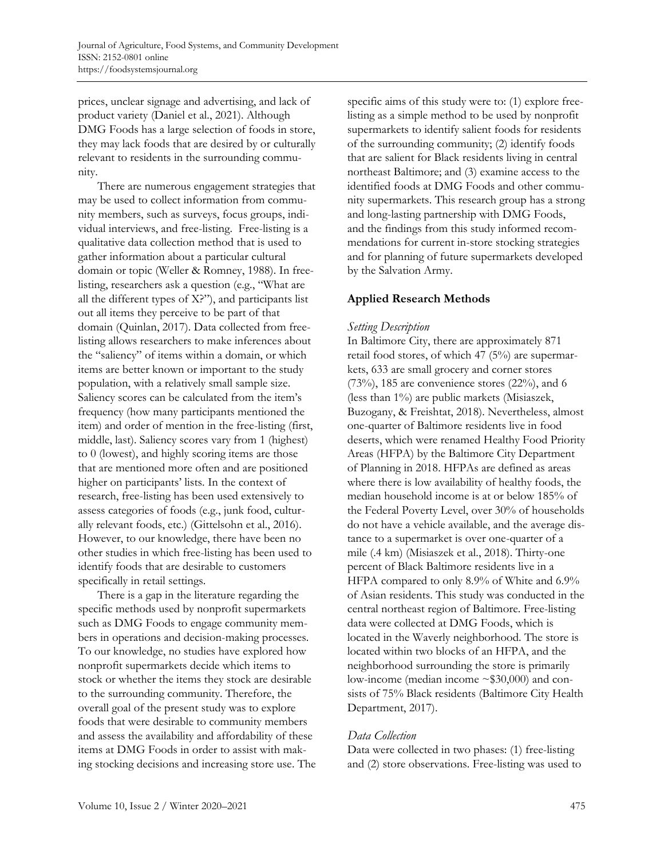prices, unclear signage and advertising, and lack of product variety (Daniel et al., 2021). Although DMG Foods has a large selection of foods in store, they may lack foods that are desired by or culturally relevant to residents in the surrounding community.

There are numerous engagement strategies that may be used to collect information from community members, such as surveys, focus groups, individual interviews, and free-listing. Free-listing is a qualitative data collection method that is used to gather information about a particular cultural domain or topic (Weller & Romney, 1988). In freelisting, researchers ask a question (e.g., "What are all the different types of X?"), and participants list out all items they perceive to be part of that domain (Quinlan, 2017). Data collected from freelisting allows researchers to make inferences about the "saliency" of items within a domain, or which items are better known or important to the study population, with a relatively small sample size. Saliency scores can be calculated from the item's frequency (how many participants mentioned the item) and order of mention in the free-listing (first, middle, last). Saliency scores vary from 1 (highest) to 0 (lowest), and highly scoring items are those that are mentioned more often and are positioned higher on participants' lists. In the context of research, free-listing has been used extensively to assess categories of foods (e.g., junk food, culturally relevant foods, etc.) (Gittelsohn et al., 2016). However, to our knowledge, there have been no other studies in which free-listing has been used to identify foods that are desirable to customers specifically in retail settings.

There is a gap in the literature regarding the specific methods used by nonprofit supermarkets such as DMG Foods to engage community members in operations and decision-making processes. To our knowledge, no studies have explored how nonprofit supermarkets decide which items to stock or whether the items they stock are desirable to the surrounding community. Therefore, the overall goal of the present study was to explore foods that were desirable to community members and assess the availability and affordability of these items at DMG Foods in order to assist with making stocking decisions and increasing store use. The specific aims of this study were to: (1) explore freelisting as a simple method to be used by nonprofit supermarkets to identify salient foods for residents of the surrounding community; (2) identify foods that are salient for Black residents living in central northeast Baltimore; and (3) examine access to the identified foods at DMG Foods and other community supermarkets. This research group has a strong and long-lasting partnership with DMG Foods, and the findings from this study informed recommendations for current in-store stocking strategies and for planning of future supermarkets developed by the Salvation Army.

# **Applied Research Methods**

# *Setting Description*

In Baltimore City, there are approximately 871 retail food stores, of which 47 (5%) are supermarkets, 633 are small grocery and corner stores  $(73%)$ , 185 are convenience stores  $(22%)$ , and 6 (less than 1%) are public markets (Misiaszek, Buzogany, & Freishtat, 2018). Nevertheless, almost one-quarter of Baltimore residents live in food deserts, which were renamed Healthy Food Priority Areas (HFPA) by the Baltimore City Department of Planning in 2018. HFPAs are defined as areas where there is low availability of healthy foods, the median household income is at or below 185% of the Federal Poverty Level, over 30% of households do not have a vehicle available, and the average distance to a supermarket is over one-quarter of a mile (.4 km) (Misiaszek et al., 2018). Thirty-one percent of Black Baltimore residents live in a HFPA compared to only 8.9% of White and 6.9% of Asian residents. This study was conducted in the central northeast region of Baltimore. Free-listing data were collected at DMG Foods, which is located in the Waverly neighborhood. The store is located within two blocks of an HFPA, and the neighborhood surrounding the store is primarily low-income (median income ~\$30,000) and consists of 75% Black residents (Baltimore City Health Department, 2017).

# *Data Collection*

Data were collected in two phases: (1) free-listing and (2) store observations. Free-listing was used to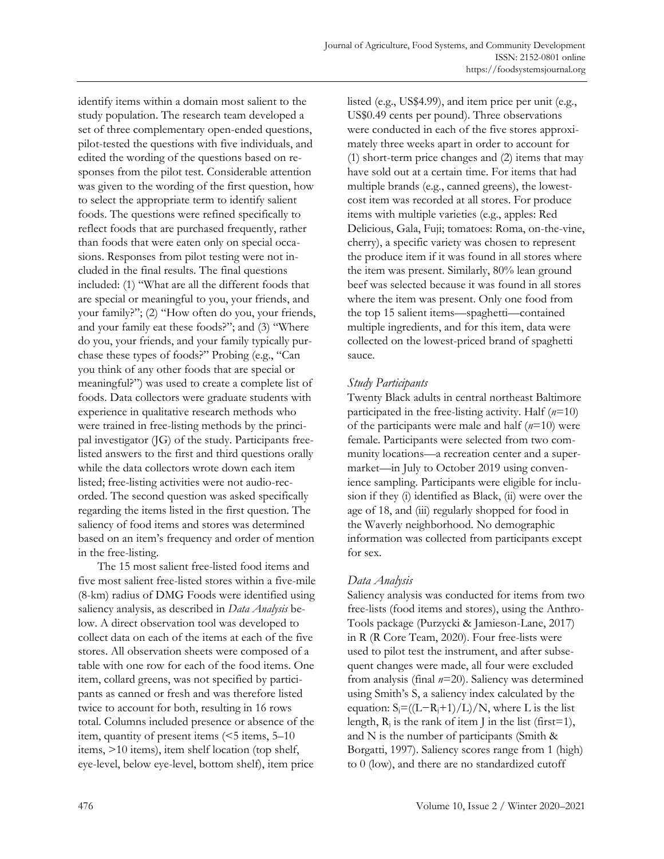identify items within a domain most salient to the study population. The research team developed a set of three complementary open-ended questions, pilot-tested the questions with five individuals, and edited the wording of the questions based on responses from the pilot test. Considerable attention was given to the wording of the first question, how to select the appropriate term to identify salient foods. The questions were refined specifically to reflect foods that are purchased frequently, rather than foods that were eaten only on special occasions. Responses from pilot testing were not included in the final results. The final questions included: (1) "What are all the different foods that are special or meaningful to you, your friends, and your family?"; (2) "How often do you, your friends, and your family eat these foods?"; and (3) "Where do you, your friends, and your family typically purchase these types of foods?" Probing (e.g., "Can you think of any other foods that are special or meaningful?") was used to create a complete list of foods. Data collectors were graduate students with experience in qualitative research methods who were trained in free-listing methods by the principal investigator (JG) of the study. Participants freelisted answers to the first and third questions orally while the data collectors wrote down each item listed; free-listing activities were not audio-recorded. The second question was asked specifically regarding the items listed in the first question. The saliency of food items and stores was determined based on an item's frequency and order of mention in the free-listing.

The 15 most salient free-listed food items and five most salient free-listed stores within a five-mile (8-km) radius of DMG Foods were identified using saliency analysis, as described in *Data Analysis* below. A direct observation tool was developed to collect data on each of the items at each of the five stores. All observation sheets were composed of a table with one row for each of the food items. One item, collard greens, was not specified by participants as canned or fresh and was therefore listed twice to account for both, resulting in 16 rows total. Columns included presence or absence of the item, quantity of present items (<5 items, 5–10 items, >10 items), item shelf location (top shelf, eye-level, below eye-level, bottom shelf), item price

listed (e.g., US\$4.99), and item price per unit (e.g., US\$0.49 cents per pound). Three observations were conducted in each of the five stores approximately three weeks apart in order to account for (1) short-term price changes and (2) items that may have sold out at a certain time. For items that had multiple brands (e.g., canned greens), the lowestcost item was recorded at all stores. For produce items with multiple varieties (e.g., apples: Red Delicious, Gala, Fuji; tomatoes: Roma, on-the-vine, cherry), a specific variety was chosen to represent the produce item if it was found in all stores where the item was present. Similarly, 80% lean ground beef was selected because it was found in all stores where the item was present. Only one food from the top 15 salient items—spaghetti—contained multiple ingredients, and for this item, data were collected on the lowest-priced brand of spaghetti sauce.

# *Study Participants*

Twenty Black adults in central northeast Baltimore participated in the free-listing activity. Half (*n*=10) of the participants were male and half (*n*=10) were female. Participants were selected from two community locations—a recreation center and a supermarket—in July to October 2019 using convenience sampling. Participants were eligible for inclusion if they (i) identified as Black, (ii) were over the age of 18, and (iii) regularly shopped for food in the Waverly neighborhood. No demographic information was collected from participants except for sex.

# *Data Analysis*

Saliency analysis was conducted for items from two free-lists (food items and stores), using the Anthro-Tools package (Purzycki & Jamieson-Lane, 2017) in R (R Core Team, 2020). Four free-lists were used to pilot test the instrument, and after subsequent changes were made, all four were excluded from analysis (final *n*=20). Saliency was determined using Smith's S, a saliency index calculated by the equation:  $S_i = ((L-R_i+1)/L)/N$ , where L is the list length,  $R_i$  is the rank of item J in the list (first=1), and N is the number of participants (Smith & Borgatti, 1997). Saliency scores range from 1 (high) to 0 (low), and there are no standardized cutoff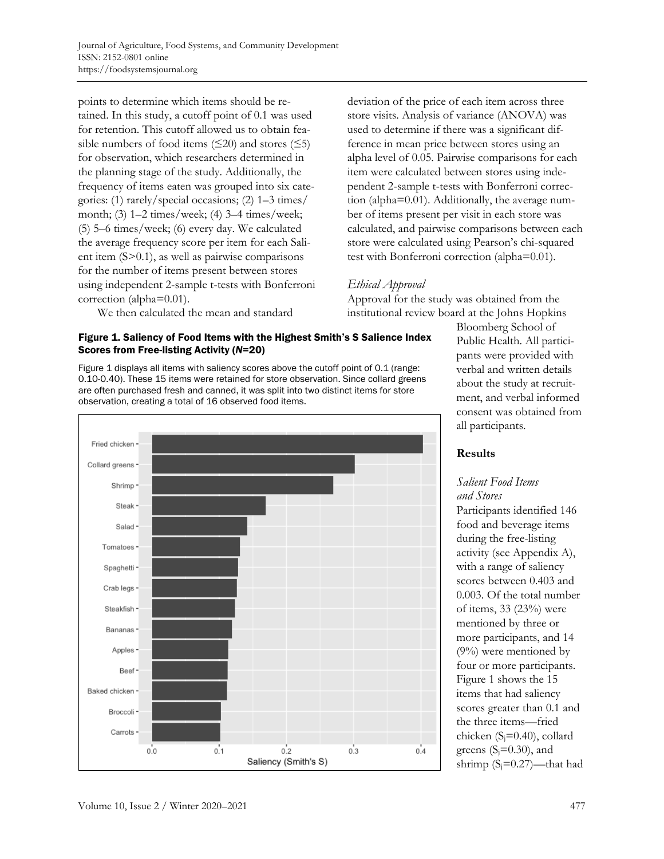points to determine which items should be retained. In this study, a cutoff point of 0.1 was used for retention. This cutoff allowed us to obtain feasible numbers of food items  $(\leq 20)$  and stores  $(\leq 5)$ for observation, which researchers determined in the planning stage of the study. Additionally, the frequency of items eaten was grouped into six categories: (1) rarely/special occasions; (2) 1–3 times/ month; (3) 1–2 times/week; (4) 3–4 times/week; (5) 5–6 times/week; (6) every day. We calculated the average frequency score per item for each Salient item (S>0.1), as well as pairwise comparisons for the number of items present between stores using independent 2-sample t-tests with Bonferroni correction (alpha=0.01).

We then calculated the mean and standard

### Figure 1. Saliency of Food Items with the Highest Smith's S Salience Index Scores from Free-listing Activity (*N*=20)

Figure 1 displays all items with saliency scores above the cutoff point of 0.1 (range: 0.10-0.40). These 15 items were retained for store observation. Since collard greens are often purchased fresh and canned, it was split into two distinct items for store observation, creating a total of 16 observed food items.



deviation of the price of each item across three store visits. Analysis of variance (ANOVA) was used to determine if there was a significant difference in mean price between stores using an alpha level of 0.05. Pairwise comparisons for each item were calculated between stores using independent 2-sample t-tests with Bonferroni correction (alpha=0.01). Additionally, the average number of items present per visit in each store was calculated, and pairwise comparisons between each store were calculated using Pearson's chi-squared test with Bonferroni correction (alpha=0.01).

# *Ethical Approval*

Approval for the study was obtained from the institutional review board at the Johns Hopkins

> Bloomberg School of Public Health. All participants were provided with verbal and written details about the study at recruitment, and verbal informed consent was obtained from all participants.

# **Results**

### *Salient Food Items and Stores*

Participants identified 146 food and beverage items during the free-listing activity (see Appendix A), with a range of saliency scores between 0.403 and 0.003. Of the total number of items, 33 (23%) were mentioned by three or more participants, and 14 (9%) were mentioned by four or more participants. Figure 1 shows the 15 items that had saliency scores greater than 0.1 and the three items—fried chicken  $(S_i=0.40)$ , collard greens  $(S_i=0.30)$ , and shrimp  $(S_i=0.27)$ —that had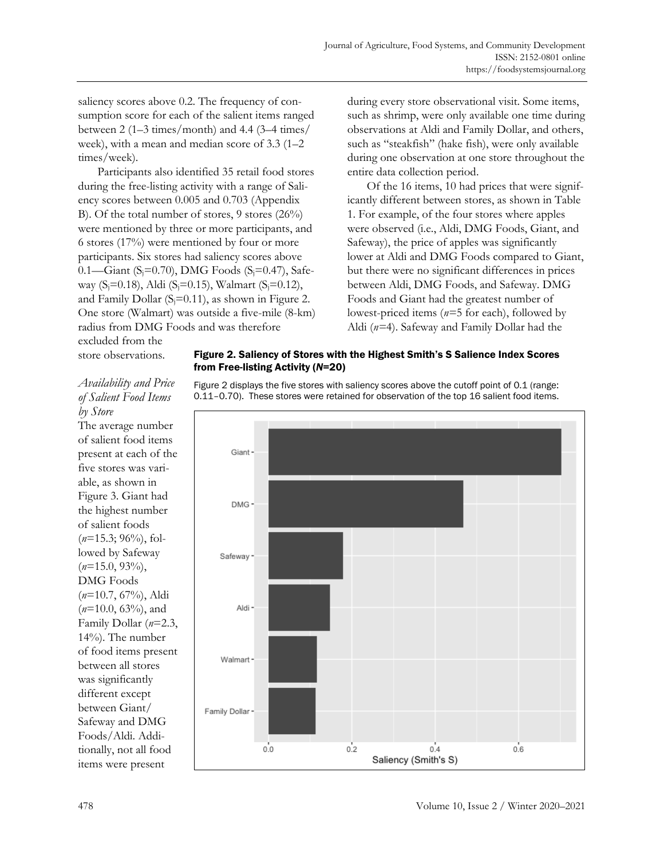saliency scores above 0.2. The frequency of consumption score for each of the salient items ranged between  $2(1-3 \times / \text{month})$  and  $4.4(3-4 \times / \text{times})$ week), with a mean and median score of 3.3 (1–2 times/week).

Participants also identified 35 retail food stores during the free-listing activity with a range of Saliency scores between 0.005 and 0.703 (Appendix B). Of the total number of stores, 9 stores (26%) were mentioned by three or more participants, and 6 stores (17%) were mentioned by four or more participants. Six stores had saliency scores above 0.1—Giant (S<sub>j</sub>=0.70), DMG Foods (S<sub>j</sub>=0.47), Safeway  $(S_i=0.18)$ , Aldi  $(S_i=0.15)$ , Walmart  $(S_i=0.12)$ , and Family Dollar  $(S_i=0.11)$ , as shown in Figure 2. One store (Walmart) was outside a five-mile (8-km) radius from DMG Foods and was therefore

during every store observational visit. Some items, such as shrimp, were only available one time during observations at Aldi and Family Dollar, and others, such as "steakfish" (hake fish), were only available during one observation at one store throughout the entire data collection period.

Of the 16 items, 10 had prices that were significantly different between stores, as shown in Table 1. For example, of the four stores where apples were observed (i.e., Aldi, DMG Foods, Giant, and Safeway), the price of apples was significantly lower at Aldi and DMG Foods compared to Giant, but there were no significant differences in prices between Aldi, DMG Foods, and Safeway. DMG Foods and Giant had the greatest number of lowest-priced items (*n=*5 for each), followed by Aldi (*n=*4). Safeway and Family Dollar had the

excluded from the store observations.

# Figure 2. Saliency of Stores with the Highest Smith's S Salience Index Scores from Free-listing Activity (*N*=20)

# *Availability and Price of Salient Food Items by Store*

The average number of salient food items present at each of the five stores was variable, as shown in Figure 3. Giant had the highest number of salient foods (*n*=15.3; 96%), followed by Safeway (*n*=15.0, 93%), DMG Foods (*n*=10.7, 67%), Aldi (*n*=10.0, 63%), and Family Dollar (*n*=2.3, 14%). The number of food items present between all stores was significantly different except between Giant/ Safeway and DMG Foods/Aldi. Additionally, not all food items were present

Figure 2 displays the five stores with saliency scores above the cutoff point of 0.1 (range: 0.11–0.70). These stores were retained for observation of the top 16 salient food items.

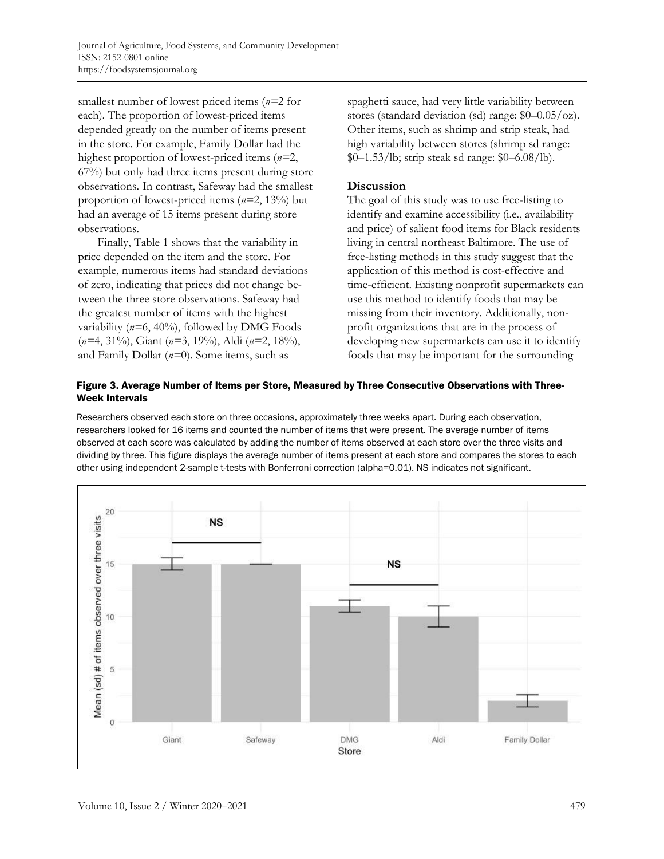smallest number of lowest priced items (*n=*2 for each). The proportion of lowest-priced items depended greatly on the number of items present in the store. For example, Family Dollar had the highest proportion of lowest-priced items (*n=*2, 67%) but only had three items present during store observations. In contrast, Safeway had the smallest proportion of lowest-priced items (*n=*2, 13%) but had an average of 15 items present during store observations.

Finally, Table 1 shows that the variability in price depended on the item and the store. For example, numerous items had standard deviations of zero, indicating that prices did not change between the three store observations. Safeway had the greatest number of items with the highest variability (*n=*6, 40%), followed by DMG Foods (*n=*4, 31%), Giant (*n=*3, 19%), Aldi (*n=*2, 18%), and Family Dollar (*n=*0). Some items, such as

spaghetti sauce, had very little variability between stores (standard deviation (sd) range: \$0–0.05/oz). Other items, such as shrimp and strip steak, had high variability between stores (shrimp sd range: \$0–1.53/lb; strip steak sd range: \$0–6.08/lb).

## **Discussion**

The goal of this study was to use free-listing to identify and examine accessibility (i.e., availability and price) of salient food items for Black residents living in central northeast Baltimore. The use of free-listing methods in this study suggest that the application of this method is cost-effective and time-efficient. Existing nonprofit supermarkets can use this method to identify foods that may be missing from their inventory. Additionally, nonprofit organizations that are in the process of developing new supermarkets can use it to identify foods that may be important for the surrounding

### Figure 3. Average Number of Items per Store, Measured by Three Consecutive Observations with Three-Week Intervals

Researchers observed each store on three occasions, approximately three weeks apart. During each observation, researchers looked for 16 items and counted the number of items that were present. The average number of items observed at each score was calculated by adding the number of items observed at each store over the three visits and dividing by three. This figure displays the average number of items present at each store and compares the stores to each other using independent 2-sample t-tests with Bonferroni correction (alpha=0.01). NS indicates not significant.

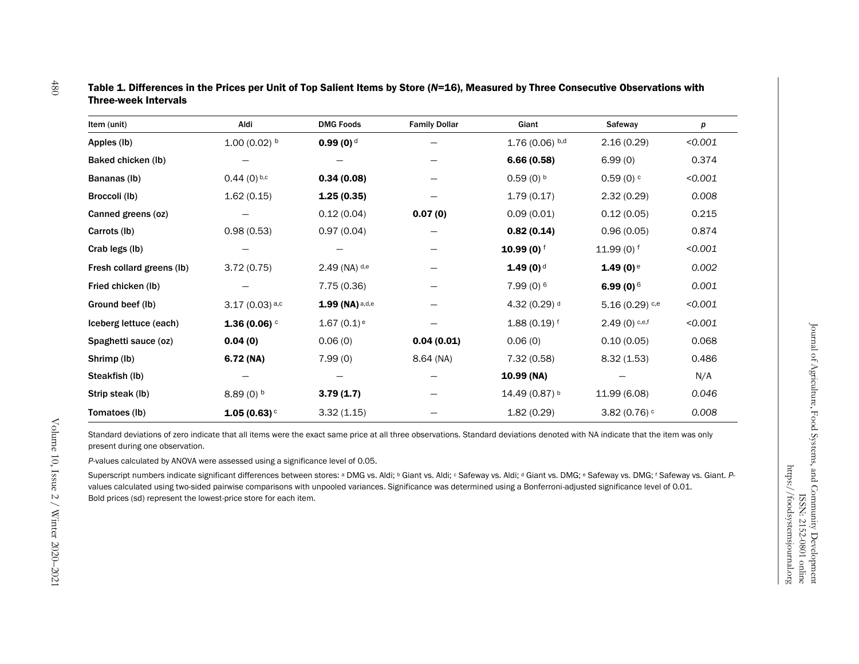| ltem (unit)               | Aldi                      | <b>DMG Foods</b>         | <b>Family Dollar</b> | Giant                     | Safeway                     | р       |
|---------------------------|---------------------------|--------------------------|----------------------|---------------------------|-----------------------------|---------|
| Apples (Ib)               | $1.00(0.02)$ <sup>b</sup> | $0.99(0)$ <sup>d</sup>   |                      | $1.76(0.06)$ b,d          | 2.16 (0.29)                 | < 0.001 |
| Baked chicken (lb)        |                           |                          |                      | 6.66(0.58)                | 6.99(0)                     | 0.374   |
| Bananas (Ib)              | $0.44(0)$ b,c             | 0.34(0.08)               |                      | $0.59(0)$ b               | $0.59(0)$ <sup>c</sup>      | < 0.001 |
| Broccoli (lb)             | 1.62(0.15)                | 1.25(0.35)               |                      | 1.79(0.17)                | 2.32(0.29)                  | 0.008   |
| Canned greens (oz)        |                           | 0.12(0.04)               | 0.07(0)              | 0.09(0.01)                | 0.12(0.05)                  | 0.215   |
| Carrots (lb)              | 0.98(0.53)                | 0.97(0.04)               |                      | 0.82(0.14)                | 0.96(0.05)                  | 0.874   |
| Crab legs (lb)            |                           |                          |                      | $10.99(0)$ <sup>f</sup>   | 11.99 $(0)$ <sup>f</sup>    | < 0.001 |
| Fresh collard greens (lb) | 3.72(0.75)                | 2.49 (NA) d,e            |                      | $1.49(0)$ <sup>d</sup>    | $1.49(0)$ <sup>e</sup>      | 0.002   |
| Fried chicken (lb)        |                           | 7.75 (0.36)              |                      | 7.99(0) <sub>6</sub>      | 6.99 (0) $6$                | 0.001   |
| <b>Ground beef (lb)</b>   | $3.17(0.03)^{a,c}$        | $1.99$ (NA) a,d,e        |                      | $4.32(0.29)$ <sup>d</sup> | $5.16(0.29)$ <sup>c,e</sup> | < 0.001 |
| Iceberg lettuce (each)    | 1.36 (0.06) $\circ$       | $1.67(0.1)$ <sup>e</sup> |                      | $1.88(0.19)$ f            | $2.49(0)$ c,e,f             | < 0.001 |
| Spaghetti sauce (oz)      | 0.04(0)                   | 0.06(0)                  | 0.04(0.01)           | 0.06(0)                   | 0.10(0.05)                  | 0.068   |
| Shrimp (lb)               | 6.72 (NA)                 | 7.99(0)                  | 8.64 (NA)            | 7.32 (0.58)               | 8.32(1.53)                  | 0.486   |
| Steakfish (lb)            |                           |                          |                      | 10.99 (NA)                |                             | N/A     |
| Strip steak (lb)          | $8.89(0)$ <sup>b</sup>    | 3.79(1.7)                |                      | 14.49 (0.87) b            | 11.99 (6.08)                | 0.046   |
| Tomatoes (lb)             | 1.05(0.63)                | 3.32(1.15)               |                      | 1.82(0.29)                | 3.82 (0.76) $\degree$       | 0.008   |

### Table 1. Differences in the Prices per Unit of Top Salient Items by Store (*N*=16), Measured by Three Consecutive Observations with Three-week Intervals

Standard deviations of zero indicate that all items were the exact same price at all three observations. Standard deviations denoted with NA indicate that the item was only present during one observation.

*P*-values calculated by ANOVA were assessed using a significance level of 0.05.

Superscript numbers indicate significant differences between stores: <sup>a</sup> DMG vs. Aldi; <sup>b</sup> Giant vs. Aldi; <sup>c</sup> Safeway vs. Aldi; <sup>d</sup> Giant vs. DMG; <sup>e</sup> Safeway vs. DMG; <sup>f</sup> Safeway vs. Giant. Pvalues calculated using two-sided pairwise comparisons with unpooled variances. Significance was determined using a Bonferroni-adjusted significance level of 0.01. Bold prices (sd) represent the lowest-price store for each item.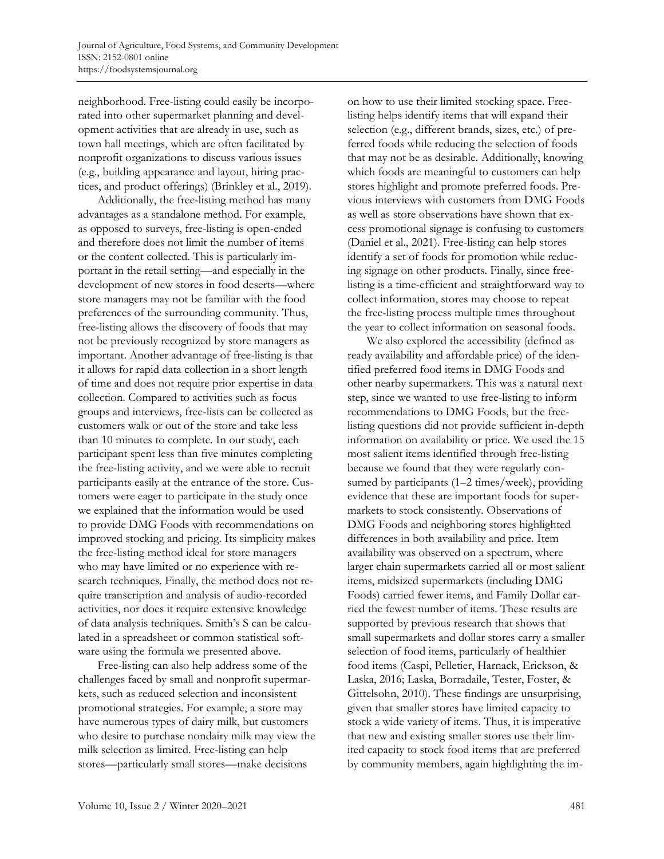neighborhood. Free-listing could easily be incorporated into other supermarket planning and development activities that are already in use, such as town hall meetings, which are often facilitated by nonprofit organizations to discuss various issues (e.g., building appearance and layout, hiring practices, and product offerings) (Brinkley et al., 2019).

Additionally, the free-listing method has many advantages as a standalone method. For example, as opposed to surveys, free-listing is open-ended and therefore does not limit the number of items or the content collected. This is particularly important in the retail setting—and especially in the development of new stores in food deserts—where store managers may not be familiar with the food preferences of the surrounding community. Thus, free-listing allows the discovery of foods that may not be previously recognized by store managers as important. Another advantage of free-listing is that it allows for rapid data collection in a short length of time and does not require prior expertise in data collection. Compared to activities such as focus groups and interviews, free-lists can be collected as customers walk or out of the store and take less than 10 minutes to complete. In our study, each participant spent less than five minutes completing the free-listing activity, and we were able to recruit participants easily at the entrance of the store. Customers were eager to participate in the study once we explained that the information would be used to provide DMG Foods with recommendations on improved stocking and pricing. Its simplicity makes the free-listing method ideal for store managers who may have limited or no experience with research techniques. Finally, the method does not require transcription and analysis of audio-recorded activities, nor does it require extensive knowledge of data analysis techniques. Smith's S can be calculated in a spreadsheet or common statistical software using the formula we presented above.

Free-listing can also help address some of the challenges faced by small and nonprofit supermarkets, such as reduced selection and inconsistent promotional strategies. For example, a store may have numerous types of dairy milk, but customers who desire to purchase nondairy milk may view the milk selection as limited. Free-listing can help stores—particularly small stores—make decisions

on how to use their limited stocking space. Freelisting helps identify items that will expand their selection (e.g., different brands, sizes, etc.) of preferred foods while reducing the selection of foods that may not be as desirable. Additionally, knowing which foods are meaningful to customers can help stores highlight and promote preferred foods. Previous interviews with customers from DMG Foods as well as store observations have shown that excess promotional signage is confusing to customers (Daniel et al., 2021). Free-listing can help stores identify a set of foods for promotion while reducing signage on other products. Finally, since freelisting is a time-efficient and straightforward way to collect information, stores may choose to repeat the free-listing process multiple times throughout the year to collect information on seasonal foods.

We also explored the accessibility (defined as ready availability and affordable price) of the identified preferred food items in DMG Foods and other nearby supermarkets. This was a natural next step, since we wanted to use free-listing to inform recommendations to DMG Foods, but the freelisting questions did not provide sufficient in-depth information on availability or price. We used the 15 most salient items identified through free-listing because we found that they were regularly consumed by participants (1–2 times/week), providing evidence that these are important foods for supermarkets to stock consistently. Observations of DMG Foods and neighboring stores highlighted differences in both availability and price. Item availability was observed on a spectrum, where larger chain supermarkets carried all or most salient items, midsized supermarkets (including DMG Foods) carried fewer items, and Family Dollar carried the fewest number of items. These results are supported by previous research that shows that small supermarkets and dollar stores carry a smaller selection of food items, particularly of healthier food items (Caspi, Pelletier, Harnack, Erickson, & Laska, 2016; Laska, Borradaile, Tester, Foster, & Gittelsohn, 2010). These findings are unsurprising, given that smaller stores have limited capacity to stock a wide variety of items. Thus, it is imperative that new and existing smaller stores use their limited capacity to stock food items that are preferred by community members, again highlighting the im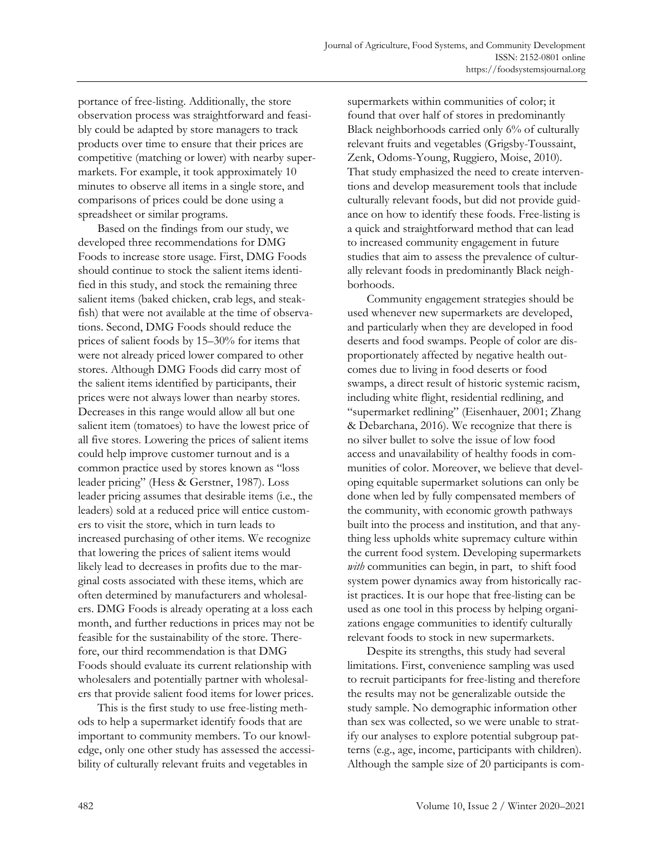portance of free-listing. Additionally, the store observation process was straightforward and feasibly could be adapted by store managers to track products over time to ensure that their prices are competitive (matching or lower) with nearby supermarkets. For example, it took approximately 10 minutes to observe all items in a single store, and comparisons of prices could be done using a spreadsheet or similar programs.

Based on the findings from our study, we developed three recommendations for DMG Foods to increase store usage. First, DMG Foods should continue to stock the salient items identified in this study, and stock the remaining three salient items (baked chicken, crab legs, and steakfish) that were not available at the time of observations. Second, DMG Foods should reduce the prices of salient foods by 15–30% for items that were not already priced lower compared to other stores. Although DMG Foods did carry most of the salient items identified by participants, their prices were not always lower than nearby stores. Decreases in this range would allow all but one salient item (tomatoes) to have the lowest price of all five stores. Lowering the prices of salient items could help improve customer turnout and is a common practice used by stores known as "loss leader pricing" (Hess & Gerstner, 1987). Loss leader pricing assumes that desirable items (i.e., the leaders) sold at a reduced price will entice customers to visit the store, which in turn leads to increased purchasing of other items. We recognize that lowering the prices of salient items would likely lead to decreases in profits due to the marginal costs associated with these items, which are often determined by manufacturers and wholesalers. DMG Foods is already operating at a loss each month, and further reductions in prices may not be feasible for the sustainability of the store. Therefore, our third recommendation is that DMG Foods should evaluate its current relationship with wholesalers and potentially partner with wholesalers that provide salient food items for lower prices.

This is the first study to use free-listing methods to help a supermarket identify foods that are important to community members. To our knowledge, only one other study has assessed the accessibility of culturally relevant fruits and vegetables in

supermarkets within communities of color; it found that over half of stores in predominantly Black neighborhoods carried only 6% of culturally relevant fruits and vegetables (Grigsby-Toussaint, Zenk, Odoms-Young, Ruggiero, Moise, 2010). That study emphasized the need to create interventions and develop measurement tools that include culturally relevant foods, but did not provide guidance on how to identify these foods. Free-listing is a quick and straightforward method that can lead to increased community engagement in future studies that aim to assess the prevalence of culturally relevant foods in predominantly Black neighborhoods.

Community engagement strategies should be used whenever new supermarkets are developed, and particularly when they are developed in food deserts and food swamps. People of color are disproportionately affected by negative health outcomes due to living in food deserts or food swamps, a direct result of historic systemic racism, including white flight, residential redlining, and "supermarket redlining" (Eisenhauer, 2001; Zhang & Debarchana, 2016). We recognize that there is no silver bullet to solve the issue of low food access and unavailability of healthy foods in communities of color. Moreover, we believe that developing equitable supermarket solutions can only be done when led by fully compensated members of the community, with economic growth pathways built into the process and institution, and that anything less upholds white supremacy culture within the current food system. Developing supermarkets *with* communities can begin, in part, to shift food system power dynamics away from historically racist practices. It is our hope that free-listing can be used as one tool in this process by helping organizations engage communities to identify culturally relevant foods to stock in new supermarkets.

Despite its strengths, this study had several limitations. First, convenience sampling was used to recruit participants for free-listing and therefore the results may not be generalizable outside the study sample. No demographic information other than sex was collected, so we were unable to stratify our analyses to explore potential subgroup patterns (e.g., age, income, participants with children). Although the sample size of 20 participants is com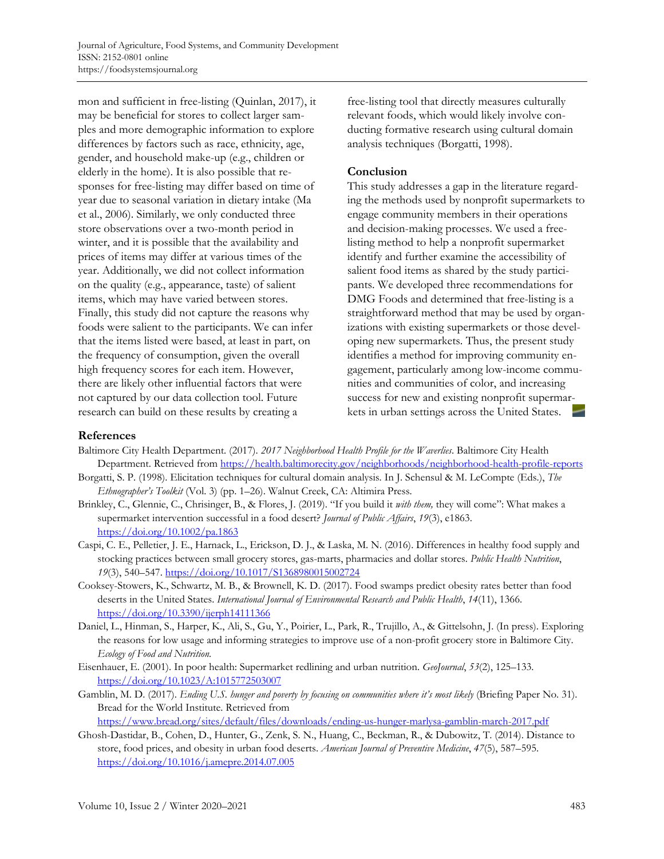mon and sufficient in free-listing (Quinlan, 2017), it may be beneficial for stores to collect larger samples and more demographic information to explore differences by factors such as race, ethnicity, age, gender, and household make-up (e.g., children or elderly in the home). It is also possible that responses for free-listing may differ based on time of year due to seasonal variation in dietary intake (Ma et al., 2006). Similarly, we only conducted three store observations over a two-month period in winter, and it is possible that the availability and prices of items may differ at various times of the year. Additionally, we did not collect information on the quality (e.g., appearance, taste) of salient items, which may have varied between stores. Finally, this study did not capture the reasons why foods were salient to the participants. We can infer that the items listed were based, at least in part, on the frequency of consumption, given the overall high frequency scores for each item. However, there are likely other influential factors that were not captured by our data collection tool. Future research can build on these results by creating a

free-listing tool that directly measures culturally relevant foods, which would likely involve conducting formative research using cultural domain analysis techniques (Borgatti, 1998).

### **Conclusion**

This study addresses a gap in the literature regarding the methods used by nonprofit supermarkets to engage community members in their operations and decision-making processes. We used a freelisting method to help a nonprofit supermarket identify and further examine the accessibility of salient food items as shared by the study participants. We developed three recommendations for DMG Foods and determined that free-listing is a straightforward method that may be used by organizations with existing supermarkets or those developing new supermarkets. Thus, the present study identifies a method for improving community engagement, particularly among low-income communities and communities of color, and increasing success for new and existing nonprofit supermarkets in urban settings across the United States.

### **References**

- Baltimore City Health Department. (2017). *2017 Neighborhood Health Profile for the Waverlies*. Baltimore City Health Department. Retrieved from https://health.baltimorecity.gov/neighborhoods/neighborhood-health-profile-reports
- Borgatti, S. P. (1998). Elicitation techniques for cultural domain analysis. In J. Schensul & M. LeCompte (Eds.), *The Ethnographer's Toolkit* (Vol. 3) (pp. 1–26). Walnut Creek, CA: Altimira Press.
- Brinkley, C., Glennie, C., Chrisinger, B., & Flores, J. (2019). "If you build it *with them,* they will come": What makes a supermarket intervention successful in a food desert? *Journal of Public Affairs*, *19*(3), e1863. https://doi.org/10.1002/pa.1863
- Caspi, C. E., Pelletier, J. E., Harnack, L., Erickson, D. J., & Laska, M. N. (2016). Differences in healthy food supply and stocking practices between small grocery stores, gas-marts, pharmacies and dollar stores. *Public Health Nutrition*, *19*(3), 540–547. https://doi.org/10.1017/S1368980015002724
- Cooksey-Stowers, K., Schwartz, M. B., & Brownell, K. D. (2017). Food swamps predict obesity rates better than food deserts in the United States. *International Journal of Environmental Research and Public Health*, *14*(11), 1366. https://doi.org/10.3390/ijerph14111366
- Daniel, L., Hinman, S., Harper, K., Ali, S., Gu, Y., Poirier, L., Park, R., Trujillo, A., & Gittelsohn, J. (In press). Exploring the reasons for low usage and informing strategies to improve use of a non-profit grocery store in Baltimore City. *Ecology of Food and Nutrition.*
- Eisenhauer, E. (2001). In poor health: Supermarket redlining and urban nutrition. *GeoJournal*, *53*(2), 125–133. https://doi.org/10.1023/A:1015772503007
- Gamblin, M. D. (2017). *Ending U.S. hunger and poverty by focusing on communities where it's most likely* (Briefing Paper No. 31). Bread for the World Institute. Retrieved from https://www.bread.org/sites/default/files/downloads/ending-us-hunger-marlysa-gamblin-march-2017.pdf
- Ghosh-Dastidar, B., Cohen, D., Hunter, G., Zenk, S. N., Huang, C., Beckman, R., & Dubowitz, T. (2014). Distance to store, food prices, and obesity in urban food deserts. *American Journal of Preventive Medicine*, *47*(5), 587–595. https://doi.org/10.1016/j.amepre.2014.07.005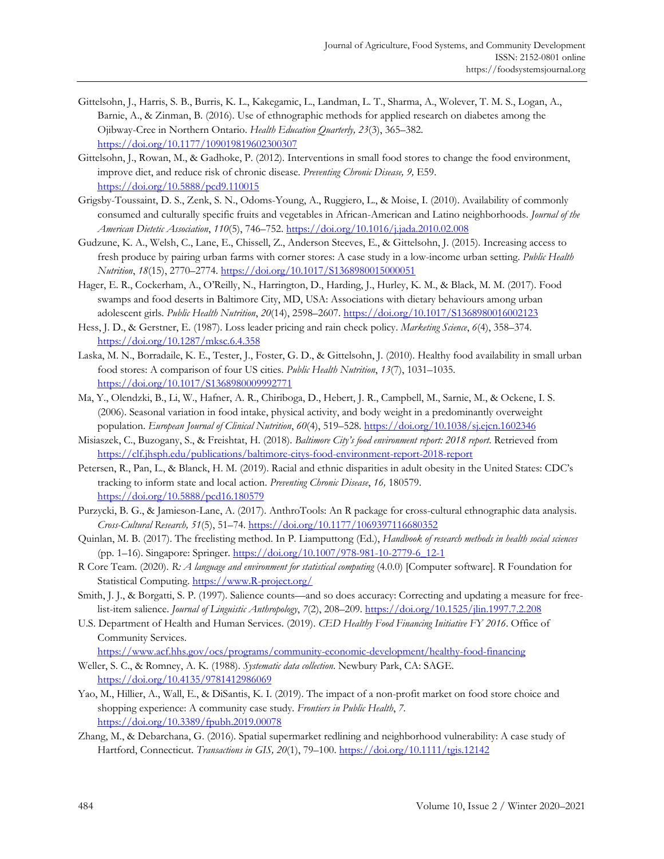- Gittelsohn, J., Harris, S. B., Burris, K. L., Kakegamic, L., Landman, L. T., Sharma, A., Wolever, T. M. S., Logan, A., Barnie, A., & Zinman, B. (2016). Use of ethnographic methods for applied research on diabetes among the Ojibway-Cree in Northern Ontario. *Health Education Quarterly, 23*(3), 365–382. https://doi.org/10.1177/109019819602300307
- Gittelsohn, J., Rowan, M., & Gadhoke, P. (2012). Interventions in small food stores to change the food environment, improve diet, and reduce risk of chronic disease. *Preventing Chronic Disease, 9,* E59. https://doi.org/10.5888/pcd9.110015
- Grigsby-Toussaint, D. S., Zenk, S. N., Odoms-Young, A., Ruggiero, L., & Moise, I. (2010). Availability of commonly consumed and culturally specific fruits and vegetables in African-American and Latino neighborhoods. *Journal of the American Dietetic Association*, *110*(5), 746–752. https://doi.org/10.1016/j.jada.2010.02.008
- Gudzune, K. A., Welsh, C., Lane, E., Chissell, Z., Anderson Steeves, E., & Gittelsohn, J. (2015). Increasing access to fresh produce by pairing urban farms with corner stores: A case study in a low-income urban setting. *Public Health Nutrition*, *18*(15), 2770–2774. https://doi.org/10.1017/S1368980015000051
- Hager, E. R., Cockerham, A., O'Reilly, N., Harrington, D., Harding, J., Hurley, K. M., & Black, M. M. (2017). Food swamps and food deserts in Baltimore City, MD, USA: Associations with dietary behaviours among urban adolescent girls. *Public Health Nutrition*, *20*(14), 2598–2607. https://doi.org/10.1017/S1368980016002123
- Hess, J. D., & Gerstner, E. (1987). Loss leader pricing and rain check policy. *Marketing Science*, *6*(4), 358–374. https://doi.org/10.1287/mksc.6.4.358
- Laska, M. N., Borradaile, K. E., Tester, J., Foster, G. D., & Gittelsohn, J. (2010). Healthy food availability in small urban food stores: A comparison of four US cities. *Public Health Nutrition*, *13*(7), 1031–1035. https://doi.org/10.1017/S1368980009992771
- Ma, Y., Olendzki, B., Li, W., Hafner, A. R., Chiriboga, D., Hebert, J. R., Campbell, M., Sarnie, M., & Ockene, I. S. (2006). Seasonal variation in food intake, physical activity, and body weight in a predominantly overweight population. *European Journal of Clinical Nutrition*, *60*(4), 519–528. https://doi.org/10.1038/sj.ejcn.1602346
- Misiaszek, C., Buzogany, S., & Freishtat, H. (2018). *Baltimore City's food environment report: 2018 report*. Retrieved from https://clf.jhsph.edu/publications/baltimore-citys-food-environment-report-2018-report
- Petersen, R., Pan, L., & Blanck, H. M. (2019). Racial and ethnic disparities in adult obesity in the United States: CDC's tracking to inform state and local action. *Preventing Chronic Disease*, *16,* 180579. https://doi.org/10.5888/pcd16.180579
- Purzycki, B. G., & Jamieson-Lane, A. (2017). AnthroTools: An R package for cross-cultural ethnographic data analysis. *Cross-Cultural Research, 51*(5), 51–74. https://doi.org/10.1177/1069397116680352
- Quinlan, M. B. (2017). The freelisting method. In P. Liamputtong (Ed.), *Handbook of research methods in health social sciences* (pp. 1–16). Singapore: Springer. https://doi.org/10.1007/978-981-10-2779-6\_12-1
- R Core Team. (2020). *R: A language and environment for statistical computing* (4.0.0) [Computer software]. R Foundation for Statistical Computing. https://www.R-project.org/
- Smith, J. J., & Borgatti, S. P. (1997). Salience counts—and so does accuracy: Correcting and updating a measure for freelist-item salience. *Journal of Linguistic Anthropology*, *7*(2), 208–209. https://doi.org/10.1525/jlin.1997.7.2.208
- U.S. Department of Health and Human Services. (2019). *CED Healthy Food Financing Initiative FY 2016*. Office of Community Services.

https://www.acf.hhs.gov/ocs/programs/community-economic-development/healthy-food-financing

- Weller, S. C., & Romney, A. K. (1988). *Systematic data collection*. Newbury Park, CA: SAGE. https://doi.org/10.4135/9781412986069
- Yao, M., Hillier, A., Wall, E., & DiSantis, K. I. (2019). The impact of a non-profit market on food store choice and shopping experience: A community case study. *Frontiers in Public Health*, *7*. https://doi.org/10.3389/fpubh.2019.00078
- Zhang, M., & Debarchana, G. (2016). Spatial supermarket redlining and neighborhood vulnerability: A case study of Hartford, Connecticut. *Transactions in GIS, 20*(1), 79–100. https://doi.org/10.1111/tgis.12142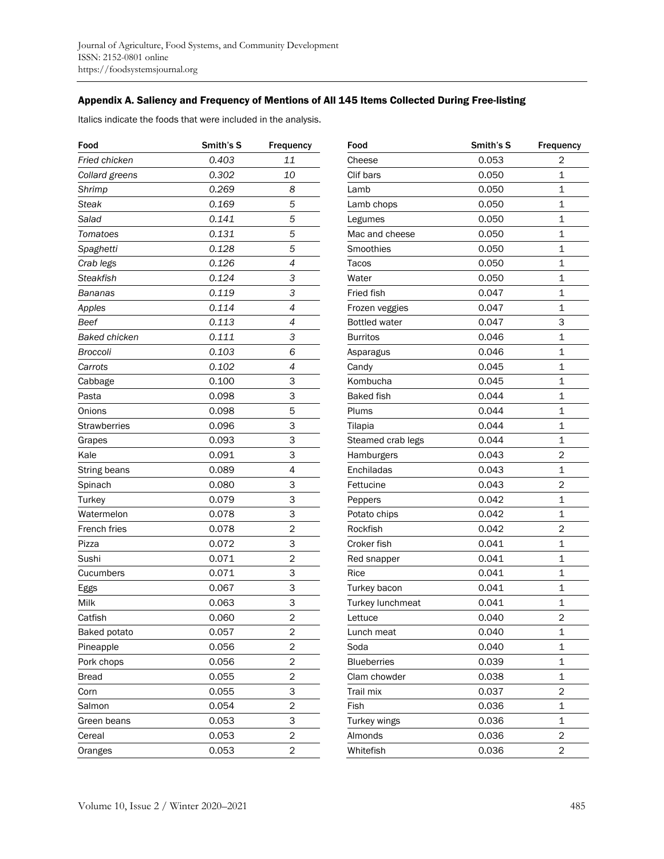## Appendix A. Saliency and Frequency of Mentions of All 145 Items Collected During Free-listing

Italics indicate the foods that were included in the analysis.

| Food                 | Smith's S | Frequency      |
|----------------------|-----------|----------------|
| Fried chicken        | 0.403     | 11             |
| Collard greens       | 0.302     | 10             |
| Shrimp               | 0.269     | 8              |
| Steak                | 0.169     | 5              |
| Salad                | 0.141     | 5              |
| Tomatoes             | 0.131     | 5              |
| Spaghetti            | 0.128     | 5              |
| Crab legs            | 0.126     | 4              |
| Steakfish            | 0.124     | 3              |
| Bananas              | 0.119     | 3              |
| Apples               | 0.114     | 4              |
| Beef                 | 0.113     | 4              |
| <b>Baked chicken</b> | 0.111     | 3              |
| Broccoli             | 0.103     | 6              |
| Carrots              | 0.102     | 4              |
| Cabbage              | 0.100     | 3              |
| Pasta                | 0.098     | 3              |
| Onions               | 0.098     | 5              |
| Strawberries         | 0.096     | 3              |
| Grapes               | 0.093     | 3              |
| Kale                 | 0.091     | 3              |
| String beans         | 0.089     | 4              |
| Spinach              | 0.080     | 3              |
| Turkey               | 0.079     | 3              |
| Watermelon           | 0.078     | 3              |
| French fries         | 0.078     | $\overline{2}$ |
| Pizza                | 0.072     | 3              |
| Sushi                | 0.071     | 2              |
| Cucumbers            | 0.071     | 3              |
| Eggs                 | 0.067     | 3              |
| Milk                 | 0.063     | 3              |
| Catfish              | 0.060     | $\overline{2}$ |
| Baked potato         | 0.057     | 2              |
| Pineapple            | 0.056     | 2              |
| Pork chops           | 0.056     | 2              |
| <b>Bread</b>         | 0.055     | $\overline{2}$ |
| Corn                 | 0.055     | 3              |
| Salmon               | 0.054     | $\overline{2}$ |
| Green beans          | 0.053     | 3              |
| Cereal               | 0.053     | 2              |
| Oranges              | 0.053     | 2              |

| Food                 | Smith's S | <b>Frequency</b> |
|----------------------|-----------|------------------|
| Cheese               | 0.053     | 2                |
| Clif bars            | 0.050     | 1                |
| Lamb                 | 0.050     | $\mathbf{1}$     |
| Lamb chops           | 0.050     | $\mathbf{1}$     |
| Legumes              | 0.050     | 1                |
| Mac and cheese       | 0.050     | 1                |
| Smoothies            | 0.050     | 1                |
| Tacos                | 0.050     | $\mathbf{1}$     |
| Water                | 0.050     | $\mathbf{1}$     |
| <b>Fried fish</b>    | 0.047     | 1                |
| Frozen veggies       | 0.047     | $\overline{1}$   |
| <b>Bottled water</b> | 0.047     | 3                |
| Burritos             | 0.046     | 1                |
| Asparagus            | 0.046     | $\overline{1}$   |
| Candy                | 0.045     | 1                |
| Kombucha             | 0.045     | $\mathbf{1}$     |
| <b>Baked fish</b>    | 0.044     | $\overline{1}$   |
| Plums                | 0.044     | $\overline{1}$   |
| Tilapia              | 0.044     | $\mathbf{1}$     |
| Steamed crab legs    | 0.044     | 1                |
| Hamburgers           | 0.043     | 2                |
| Enchiladas           | 0.043     | 1                |
| Fettucine            | 0.043     | $\overline{2}$   |
| Peppers              | 0.042     | $\overline{1}$   |
| Potato chips         | 0.042     | 1                |
| Rockfish             | 0.042     | $\overline{2}$   |
| Croker fish          | 0.041     | $\mathbf{1}$     |
| Red snapper          | 0.041     | 1                |
| Rice                 | 0.041     | 1                |
| Turkey bacon         | 0.041     | 1                |
| Turkey lunchmeat     | 0.041     | $\mathbf{1}$     |
| Lettuce              | 0.040     | $\overline{2}$   |
| Lunch meat           | 0.040     | 1                |
| Soda                 | 0.040     | 1                |
| <b>Blueberries</b>   | 0.039     | 1                |
| Clam chowder         | 0.038     | 1                |
| Trail mix            | 0.037     | 2                |
| Fish                 | 0.036     | $\mathbf{1}$     |
| Turkey wings         | 0.036     | 1                |
| Almonds              | 0.036     | $\overline{2}$   |
| Whitefish            | 0.036     | $\overline{c}$   |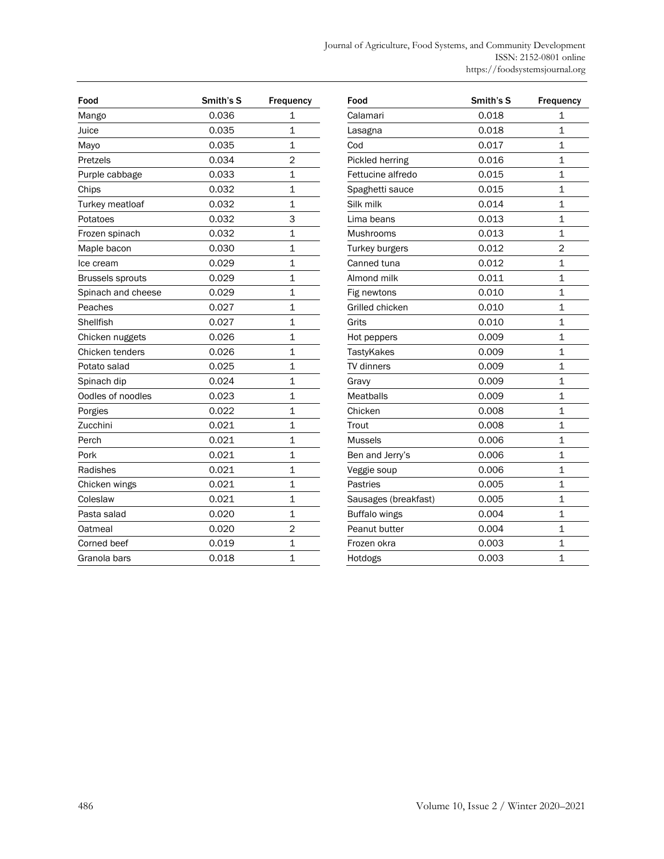| Food                    | Smith's S | <b>Frequency</b> |
|-------------------------|-----------|------------------|
| Mango                   | 0.036     | 1                |
| Juice                   | 0.035     | 1                |
| Mayo                    | 0.035     | 1                |
| Pretzels                | 0.034     | 2                |
| Purple cabbage          | 0.033     | $\mathbf{1}$     |
| Chips                   | 0.032     | 1                |
| Turkey meatloaf         | 0.032     | $\overline{1}$   |
| Potatoes                | 0.032     | 3                |
| Frozen spinach          | 0.032     | 1                |
| Maple bacon             | 0.030     | $\overline{1}$   |
| lce cream               | 0.029     | $\overline{1}$   |
| <b>Brussels sprouts</b> | 0.029     | 1                |
| Spinach and cheese      | 0.029     | $\overline{1}$   |
| Peaches                 | 0.027     | $\mathbf{1}$     |
| Shellfish               | 0.027     | $\mathbf{1}$     |
| Chicken nuggets         | 0.026     | 1                |
| Chicken tenders         | 0.026     | $\overline{1}$   |
| Potato salad            | 0.025     | 1                |
| Spinach dip             | 0.024     | 1                |
| Oodles of noodles       | 0.023     | $\overline{1}$   |
| Porgies                 | 0.022     | $\overline{1}$   |
| Zucchini                | 0.021     | 1                |
| Perch                   | 0.021     | 1                |
| Pork                    | 0.021     | 1                |
| Radishes                | 0.021     | $\mathbf{1}$     |
| Chicken wings           | 0.021     | 1                |
| Coleslaw                | 0.021     | $\overline{1}$   |
| Pasta salad             | 0.020     | $\overline{1}$   |
| Oatmeal                 | 0.020     | $\overline{2}$   |
| Corned beef             | 0.019     | 1                |
| Granola bars            | 0.018     | $\overline{1}$   |

| Food                 | Smith's S | Frequency      |
|----------------------|-----------|----------------|
| Calamari             | 0.018     | 1              |
| Lasagna              | 0.018     | 1              |
| Cod                  | 0.017     | 1              |
| Pickled herring      | 0.016     | 1              |
| Fettucine alfredo    | 0.015     | 1              |
| Spaghetti sauce      | 0.015     | 1              |
| Silk milk            | 0.014     | $\overline{1}$ |
| Lima beans           | 0.013     | $\mathbf{1}$   |
| Mushrooms            | 0.013     | $\mathbf{1}$   |
| Turkey burgers       | 0.012     | $\overline{2}$ |
| Canned tuna          | 0.012     | 1              |
| Almond milk          | 0.011     | 1              |
| Fig newtons          | 0.010     | $\overline{1}$ |
| Grilled chicken      | 0.010     | $\mathbf{1}$   |
| Grits                | 0.010     | 1              |
| Hot peppers          | 0.009     | 1              |
| TastyKakes           | 0.009     | 1              |
| <b>TV</b> dinners    | 0.009     | 1              |
| Gravy                | 0.009     | $\overline{1}$ |
| <b>Meatballs</b>     | 0.009     | 1              |
| Chicken              | 0.008     | 1              |
| Trout                | 0.008     | $\overline{1}$ |
| <b>Mussels</b>       | 0.006     | $\overline{1}$ |
| Ben and Jerry's      | 0.006     | 1              |
| Veggie soup          | 0.006     | $\overline{1}$ |
| Pastries             | 0.005     | 1              |
| Sausages (breakfast) | 0.005     | $\mathbf{1}$   |
| <b>Buffalo wings</b> | 0.004     | $\overline{1}$ |
| Peanut butter        | 0.004     | 1              |
| Frozen okra          | 0.003     | 1              |
| Hotdogs              | 0.003     | $\overline{1}$ |